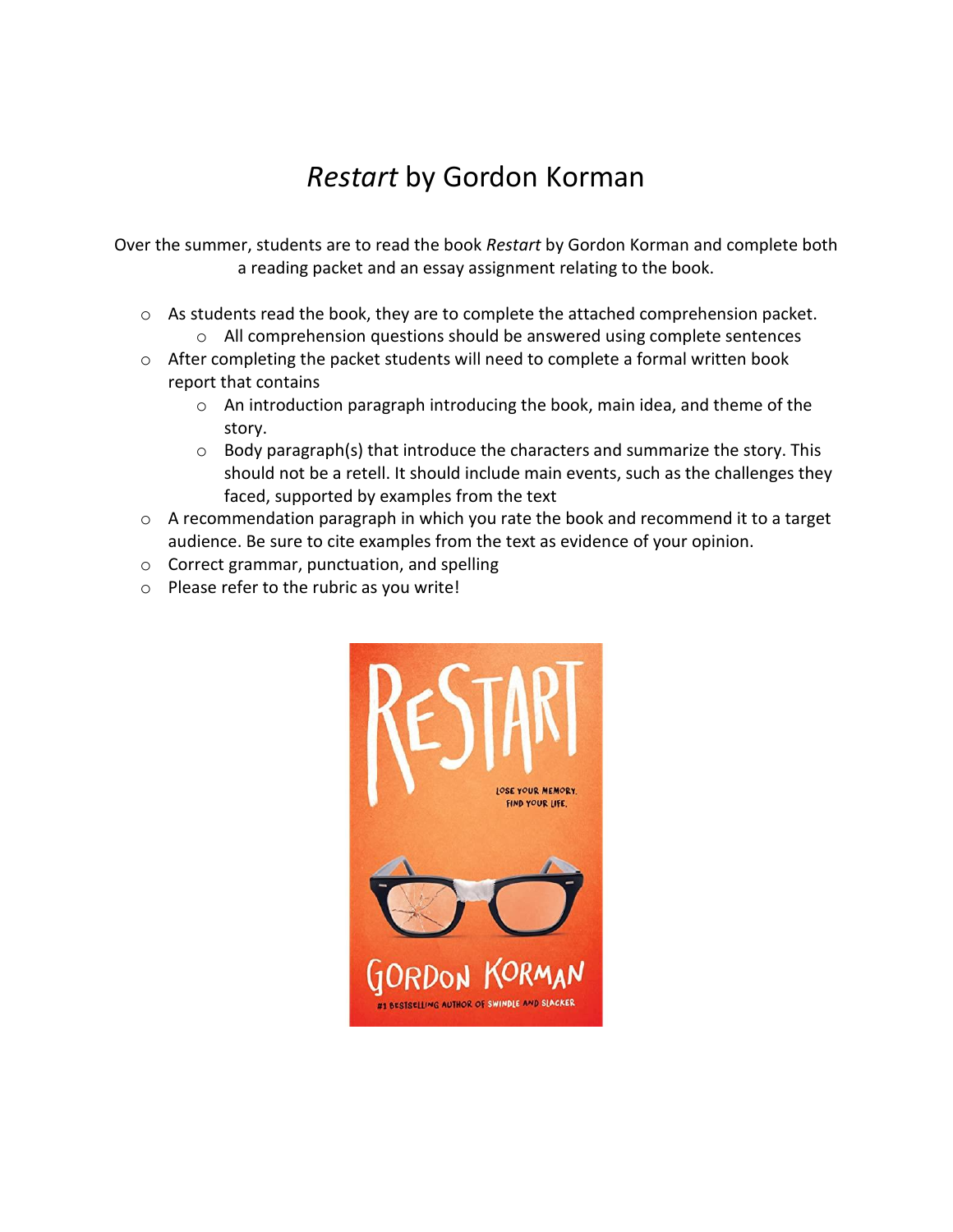## *Restart* by Gordon Korman

Over the summer, students are to read the book *Restart* by Gordon Korman and complete both a reading packet and an essay assignment relating to the book.

- o As students read the book, they are to complete the attached comprehension packet. o All comprehension questions should be answered using complete sentences
- o After completing the packet students will need to complete a formal written book report that contains
	- o An introduction paragraph introducing the book, main idea, and theme of the story.
	- o Body paragraph(s) that introduce the characters and summarize the story. This should not be a retell. It should include main events, such as the challenges they faced, supported by examples from the text
- o A recommendation paragraph in which you rate the book and recommend it to a target audience. Be sure to cite examples from the text as evidence of your opinion.
- o Correct grammar, punctuation, and spelling
- o Please refer to the rubric as you write!